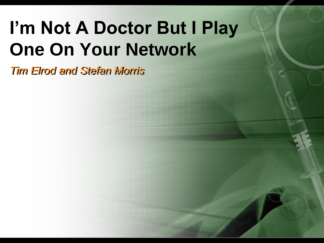# **I'm Not A Doctor But I Play One On Your Network**

*Tim Elrod and Stefan Morris*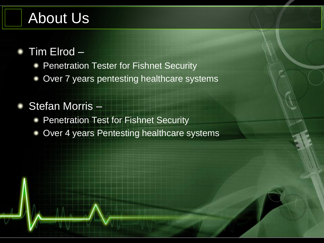#### About Us

#### Tim Elrod –

- Penetration Tester for Fishnet Security
- Over 7 years pentesting healthcare systems

#### Stefan Morris –

- Penetration Test for Fishnet Security
- Over 4 years Pentesting healthcare systems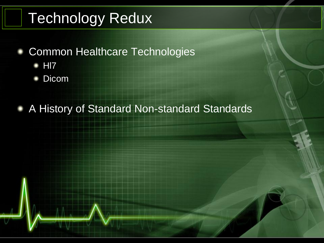## Technology Redux

- Common Healthcare Technologies
	- Hl7
	- Dicom

A History of Standard Non-standard Standards٠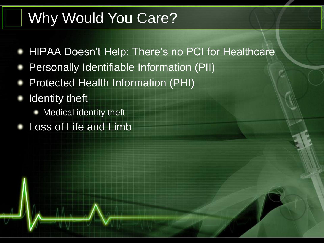#### Why Would You Care?

- HIPAA Doesn't Help: There's no PCI for Healthcare
- Personally Identifiable Information (PII)
- Protected Health Information (PHI)
- Identity theft
	- Medical identity theft
- Loss of Life and Limb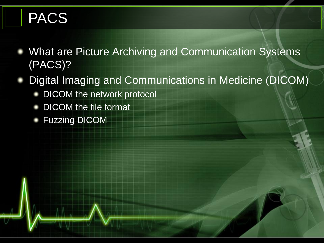## PACS

- What are Picture Archiving and Communication Systems (PACS)?
- Digital Imaging and Communications in Medicine (DICOM)
	- DICOM the network protocol
	- DICOM the file format
	- Fuzzing DICOM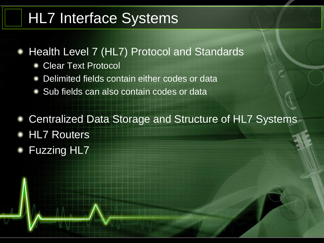#### HL7 Interface Systems

- Health Level 7 (HL7) Protocol and Standards
	- Clear Text Protocol
	- Delimited fields contain either codes or data
	- Sub fields can also contain codes or data
- Centralized Data Storage and Structure of HL7 Systems
- HL7 Routers
- Fuzzing HL7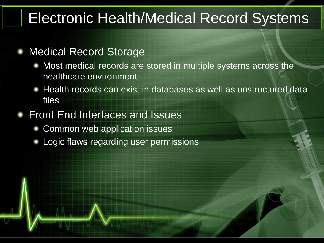#### Electronic Health/Medical Record Systems

#### Medical Record Storage

- Most medical records are stored in multiple systems across the healthcare environment
- Health records can exist in databases as well as unstructured data files
- Front End Interfaces and Issues
	- Common web application issues
	- Logic flaws regarding user permissions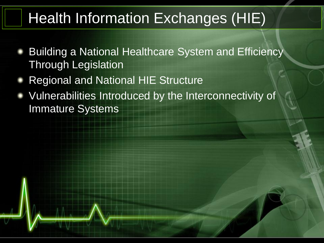## Health Information Exchanges (HIE)

- Building a National Healthcare System and Efficiency Through Legislation
- Regional and National HIE Structure
- Vulnerabilities Introduced by the Interconnectivity of Immature Systems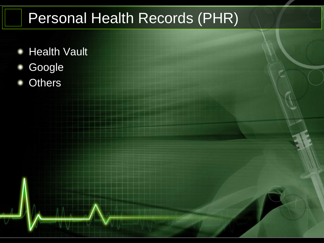## Personal Health Records (PHR)

- Health Vault
- Google
- **Others**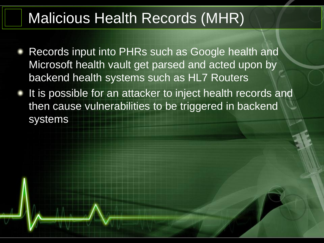#### Malicious Health Records (MHR)

- Records input into PHRs such as Google health and Microsoft health vault get parsed and acted upon by backend health systems such as HL7 Routers
- It is possible for an attacker to inject health records and then cause vulnerabilities to be triggered in backend systems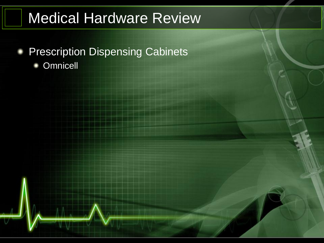#### Medical Hardware Review

- **Prescription Dispensing Cabinets** 
	- **Omnicell**